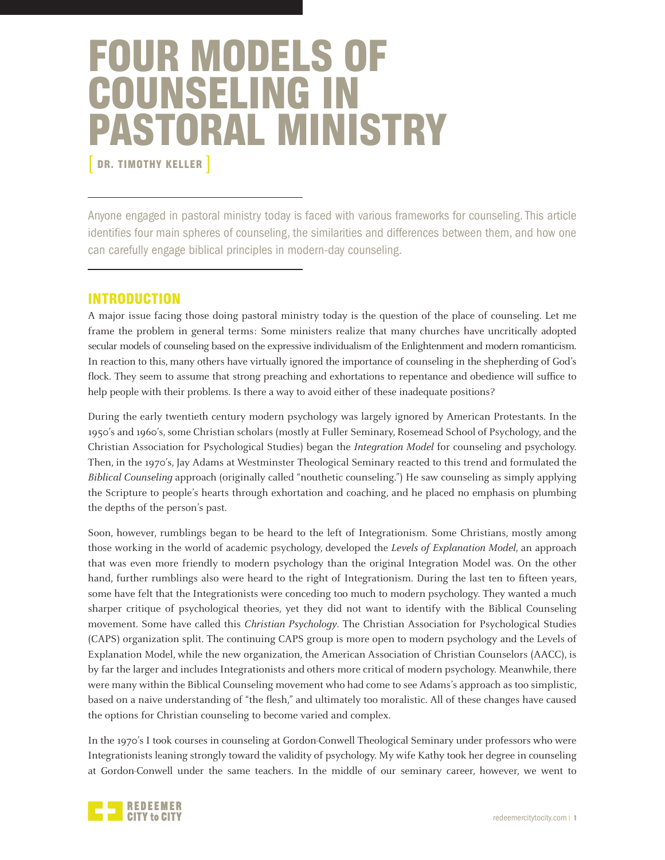# FOUR MODELS OF COUNSELING IN PASTORAL MINISTRY DR. TIMOTHY KELLER ]

Anyone engaged in pastoral ministry today is faced with various frameworks for counseling. This article identifies four main spheres of counseling, the similarities and differences between them, and how one can carefully engage biblical principles in modern-day counseling.

# INTRODUCTION

A major issue facing those doing pastoral ministry today is the question of the place of counseling. Let me frame the problem in general terms: Some ministers realize that many churches have uncritically adopted secular models of counseling based on the expressive individualism of the Enlightenment and modern romanticism. In reaction to this, many others have virtually ignored the importance of counseling in the shepherding of God's flock. They seem to assume that strong preaching and exhortations to repentance and obedience will suffice to help people with their problems. Is there a way to avoid either of these inadequate positions?

During the early twentieth century modern psychology was largely ignored by American Protestants. In the 1950's and 1960's, some Christian scholars (mostly at Fuller Seminary, Rosemead School of Psychology, and the Christian Association for Psychological Studies) began the Integration Model for counseling and psychology. Then, in the 1970's, Jay Adams at Westminster Theological Seminary reacted to this trend and formulated the Biblical Counseling approach (originally called "nouthetic counseling.") He saw counseling as simply applying the Scripture to people's hearts through exhortation and coaching, and he placed no emphasis on plumbing the depths of the person's past.

Soon, however, rumblings began to be heard to the left of Integrationism. Some Christians, mostly among those working in the world of academic psychology, developed the Levels of Explanation Model, an approach that was even more friendly to modern psychology than the original Integration Model was. On the other hand, further rumblings also were heard to the right of Integrationism. During the last ten to fifteen years, some have felt that the Integrationists were conceding too much to modern psychology. They wanted a much sharper critique of psychological theories, yet they did not want to identify with the Biblical Counseling movement. Some have called this *Christian Psychology*. The Christian Association for Psychological Studies (CAPS) organization split. The continuing CAPS group is more open to modern psychology and the Levels of Explanation Model, while the new organization, the American Association of Christian Counselors (AACC), is by far the larger and includes Integrationists and others more critical of modern psychology. Meanwhile, there were many within the Biblical Counseling movement who had come to see Adams's approach as too simplistic, based on a naive understanding of "the flesh," and ultimately too moralistic. All of these changes have caused the options for Christian counseling to become varied and complex.

In the 1970's I took courses in counseling at Gordon-Conwell Theological Seminary under professors who were Integrationists leaning strongly toward the validity of psychology. My wife Kathy took her degree in counseling at Gordon-Conwell under the same teachers. In the middle of our seminary career, however, we went to

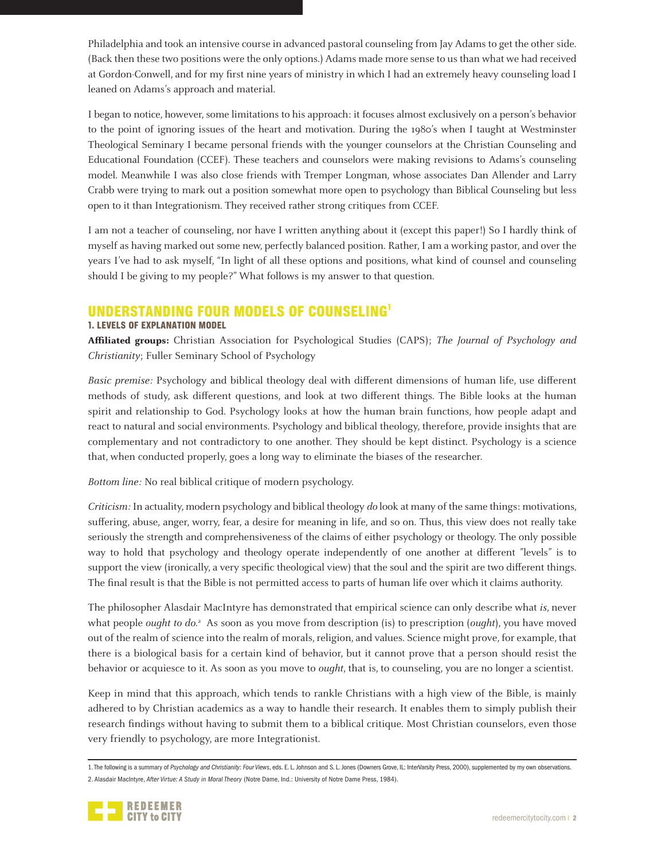Philadelphia and took an intensive course in advanced pastoral counseling from Jay Adams to get the other side. (Back then these two positions were the only options.) Adams made more sense to us than what we had received at Gordon-Conwell, and for my first nine years of ministry in which I had an extremely heavy counseling load I leaned on Adams's approach and material.

I began to notice, however, some limitations to his approach: it focuses almost exclusively on a person's behavior to the point of ignoring issues of the heart and motivation. During the 1980's when I taught at Westminster Theological Seminary I became personal friends with the younger counselors at the Christian Counseling and Educational Foundation (CCEF). These teachers and counselors were making revisions to Adams's counseling model. Meanwhile I was also close friends with Tremper Longman, whose associates Dan Allender and Larry Crabb were trying to mark out a position somewhat more open to psychology than Biblical Counseling but less open to it than Integrationism. They received rather strong critiques from CCEF.

I am not a teacher of counseling, nor have I written anything about it (except this paper!) So I hardly think of myself as having marked out some new, perfectly balanced position. Rather, I am a working pastor, and over the years I've had to ask myself, "In light of all these options and positions, what kind of counsel and counseling should I be giving to my people?" What follows is my answer to that question.

# UNDERSTANDING FOUR MODELS OF COUNSELING1

## 1. LEVELS OF EXPLANATION MODEL

**Affiliated groups:** Christian Association for Psychological Studies (CAPS); The Journal of Psychology and Christianity; Fuller Seminary School of Psychology

Basic premise: Psychology and biblical theology deal with different dimensions of human life, use different methods of study, ask different questions, and look at two different things. The Bible looks at the human spirit and relationship to God. Psychology looks at how the human brain functions, how people adapt and react to natural and social environments. Psychology and biblical theology, therefore, provide insights that are complementary and not contradictory to one another. They should be kept distinct. Psychology is a science that, when conducted properly, goes a long way to eliminate the biases of the researcher.

Bottom line: No real biblical critique of modern psychology.

Criticism: In actuality, modern psychology and biblical theology do look at many of the same things: motivations, suffering, abuse, anger, worry, fear, a desire for meaning in life, and so on. Thus, this view does not really take seriously the strength and comprehensiveness of the claims of either psychology or theology. The only possible way to hold that psychology and theology operate independently of one another at different "levels" is to support the view (ironically, a very specific theological view) that the soul and the spirit are two different things. The final result is that the Bible is not permitted access to parts of human life over which it claims authority.

The philosopher Alasdair MacIntyre has demonstrated that empirical science can only describe what is, never what people *ought to do.*<sup>2</sup> As soon as you move from description (is) to prescription (*ought*), you have moved out of the realm of science into the realm of morals, religion, and values. Science might prove, for example, that there is a biological basis for a certain kind of behavior, but it cannot prove that a person should resist the behavior or acquiesce to it. As soon as you move to *ought*, that is, to counseling, you are no longer a scientist.

Keep in mind that this approach, which tends to rankle Christians with a high view of the Bible, is mainly adhered to by Christian academics as a way to handle their research. It enables them to simply publish their research findings without having to submit them to a biblical critique. Most Christian counselors, even those very friendly to psychology, are more Integrationist.

<sup>1.</sup> The following is a summary of *Psychology and Christianity: Four Views*, eds. E. L. Johnson and S. L. Jones (Downers Grove, IL: InterVarsity Press, 2000), supplemented by my own observations. 2. Alasdair MacIntyre, *After Virtue: A Study in Moral Theory* (Notre Dame, Ind.: University of Notre Dame Press, 1984).

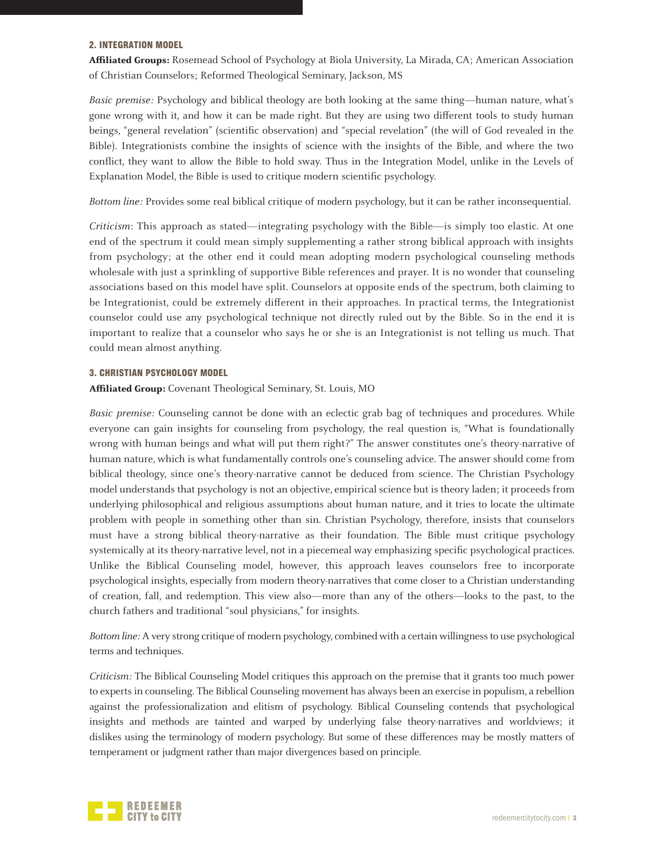#### 2. INTEGRATION MODEL

**Affiliated Groups:** Rosemead School of Psychology at Biola University, La Mirada, CA; American Association of Christian Counselors; Reformed Theological Seminary, Jackson, MS

Basic premise: Psychology and biblical theology are both looking at the same thing—human nature, what's gone wrong with it, and how it can be made right. But they are using two different tools to study human beings, "general revelation" (scientific observation) and "special revelation" (the will of God revealed in the Bible). Integrationists combine the insights of science with the insights of the Bible, and where the two conflict, they want to allow the Bible to hold sway. Thus in the Integration Model, unlike in the Levels of Explanation Model, the Bible is used to critique modern scientific psychology.

Bottom line: Provides some real biblical critique of modern psychology, but it can be rather inconsequential.

Criticism: This approach as stated—integrating psychology with the Bible—is simply too elastic. At one end of the spectrum it could mean simply supplementing a rather strong biblical approach with insights from psychology; at the other end it could mean adopting modern psychological counseling methods wholesale with just a sprinkling of supportive Bible references and prayer. It is no wonder that counseling associations based on this model have split. Counselors at opposite ends of the spectrum, both claiming to be Integrationist, could be extremely different in their approaches. In practical terms, the Integrationist counselor could use any psychological technique not directly ruled out by the Bible. So in the end it is important to realize that a counselor who says he or she is an Integrationist is not telling us much. That could mean almost anything.

#### 3. CHRISTIAN PSYCHOLOGY MODEL

**Affiliated Group:** Covenant Theological Seminary, St. Louis, MO

Basic premise: Counseling cannot be done with an eclectic grab bag of techniques and procedures. While everyone can gain insights for counseling from psychology, the real question is, "What is foundationally wrong with human beings and what will put them right?" The answer constitutes one's theory-narrative of human nature, which is what fundamentally controls one's counseling advice. The answer should come from biblical theology, since one's theory-narrative cannot be deduced from science. The Christian Psychology model understands that psychology is not an objective, empirical science but is theory laden; it proceeds from underlying philosophical and religious assumptions about human nature, and it tries to locate the ultimate problem with people in something other than sin. Christian Psychology, therefore, insists that counselors must have a strong biblical theory-narrative as their foundation. The Bible must critique psychology systemically at its theory-narrative level, not in a piecemeal way emphasizing specific psychological practices. Unlike the Biblical Counseling model, however, this approach leaves counselors free to incorporate psychological insights, especially from modern theory-narratives that come closer to a Christian understanding of creation, fall, and redemption. This view also—more than any of the others—looks to the past, to the church fathers and traditional "soul physicians," for insights.

Bottom line: A very strong critique of modern psychology, combined with a certain willingness to use psychological terms and techniques.

Criticism: The Biblical Counseling Model critiques this approach on the premise that it grants too much power to experts in counseling. The Biblical Counseling movement has always been an exercise in populism, a rebellion against the professionalization and elitism of psychology. Biblical Counseling contends that psychological insights and methods are tainted and warped by underlying false theory-narratives and worldviews; it dislikes using the terminology of modern psychology. But some of these differences may be mostly matters of temperament or judgment rather than major divergences based on principle.

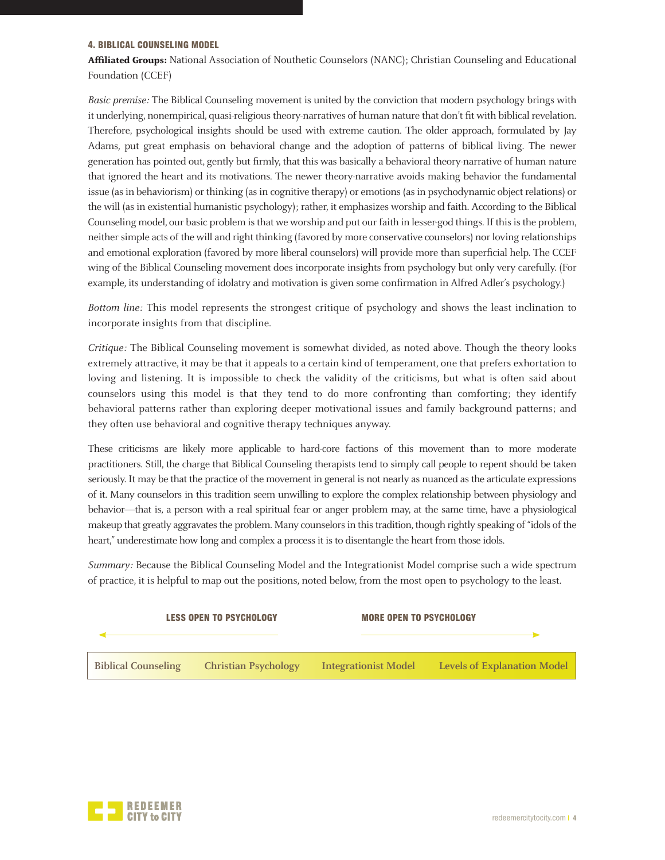#### 4. BIBLICAL COUNSELING MODEL

**Affiliated Groups:** National Association of Nouthetic Counselors (NANC); Christian Counseling and Educational Foundation (CCEF)

Basic premise: The Biblical Counseling movement is united by the conviction that modern psychology brings with it underlying, nonempirical, quasi-religious theory-narratives of human nature that don't fit with biblical revelation. Therefore, psychological insights should be used with extreme caution. The older approach, formulated by Jay Adams, put great emphasis on behavioral change and the adoption of patterns of biblical living. The newer generation has pointed out, gently but firmly, that this was basically a behavioral theory-narrative of human nature that ignored the heart and its motivations. The newer theory-narrative avoids making behavior the fundamental issue (as in behaviorism) or thinking (as in cognitive therapy) or emotions (as in psychodynamic object relations) or the will (as in existential humanistic psychology); rather, it emphasizes worship and faith. According to the Biblical Counseling model, our basic problem is that we worship and put our faith in lesser-god things. If this is the problem, neither simple acts of the will and right thinking (favored by more conservative counselors) nor loving relationships and emotional exploration (favored by more liberal counselors) will provide more than superficial help. The CCEF wing of the Biblical Counseling movement does incorporate insights from psychology but only very carefully. (For example, its understanding of idolatry and motivation is given some confirmation in Alfred Adler's psychology.)

Bottom line: This model represents the strongest critique of psychology and shows the least inclination to incorporate insights from that discipline.

Critique: The Biblical Counseling movement is somewhat divided, as noted above. Though the theory looks extremely attractive, it may be that it appeals to a certain kind of temperament, one that prefers exhortation to loving and listening. It is impossible to check the validity of the criticisms, but what is often said about counselors using this model is that they tend to do more confronting than comforting; they identify behavioral patterns rather than exploring deeper motivational issues and family background patterns; and they often use behavioral and cognitive therapy techniques anyway.

These criticisms are likely more applicable to hard-core factions of this movement than to more moderate practitioners. Still, the charge that Biblical Counseling therapists tend to simply call people to repent should be taken seriously. It may be that the practice of the movement in general is not nearly as nuanced as the articulate expressions of it. Many counselors in this tradition seem unwilling to explore the complex relationship between physiology and behavior—that is, a person with a real spiritual fear or anger problem may, at the same time, have a physiological makeup that greatly aggravates the problem. Many counselors in this tradition, though rightly speaking of "idols of the heart," underestimate how long and complex a process it is to disentangle the heart from those idols.

Summary: Because the Biblical Counseling Model and the Integrationist Model comprise such a wide spectrum of practice, it is helpful to map out the positions, noted below, from the most open to psychology to the least.



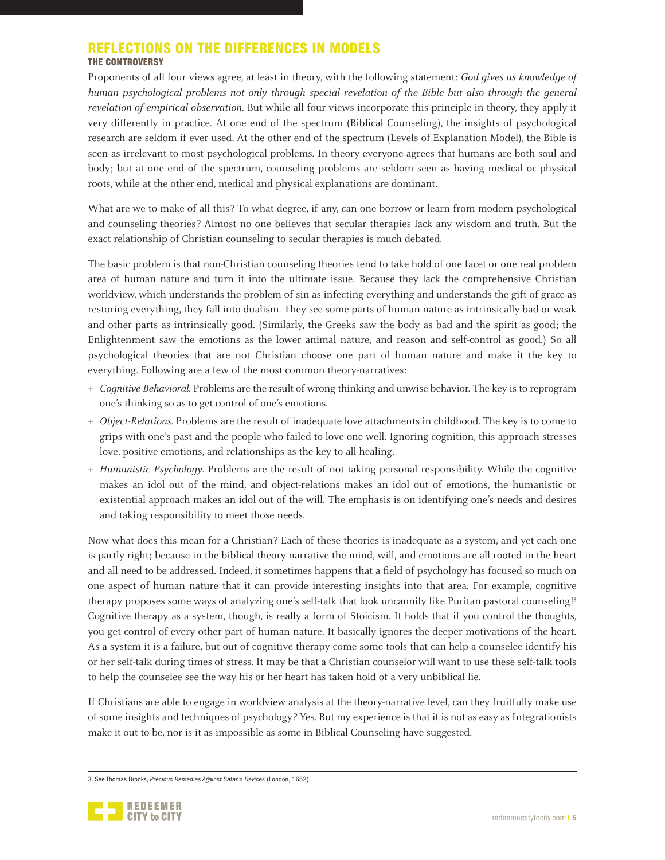## REFLECTIONS ON THE DIFFERENCES IN MODELS THE CONTROVERSY

Proponents of all four views agree, at least in theory, with the following statement: God gives us knowledge of human psychological problems not only through special revelation of the Bible but also through the general revelation of empirical observation. But while all four views incorporate this principle in theory, they apply it very differently in practice. At one end of the spectrum (Biblical Counseling), the insights of psychological research are seldom if ever used. At the other end of the spectrum (Levels of Explanation Model), the Bible is seen as irrelevant to most psychological problems. In theory everyone agrees that humans are both soul and body; but at one end of the spectrum, counseling problems are seldom seen as having medical or physical roots, while at the other end, medical and physical explanations are dominant.

What are we to make of all this? To what degree, if any, can one borrow or learn from modern psychological and counseling theories? Almost no one believes that secular therapies lack any wisdom and truth. But the exact relationship of Christian counseling to secular therapies is much debated.

The basic problem is that non-Christian counseling theories tend to take hold of one facet or one real problem area of human nature and turn it into the ultimate issue. Because they lack the comprehensive Christian worldview, which understands the problem of sin as infecting everything and understands the gift of grace as restoring everything, they fall into dualism. They see some parts of human nature as intrinsically bad or weak and other parts as intrinsically good. (Similarly, the Greeks saw the body as bad and the spirit as good; the Enlightenment saw the emotions as the lower animal nature, and reason and self-control as good.) So all psychological theories that are not Christian choose one part of human nature and make it the key to everything. Following are a few of the most common theory-narratives:

- **+** Cognitive-Behavioral. Problems are the result of wrong thinking and unwise behavior. The key is to reprogram one's thinking so as to get control of one's emotions.
- **+** Object-Relations. Problems are the result of inadequate love attachments in childhood. The key is to come to grips with one's past and the people who failed to love one well. Ignoring cognition, this approach stresses love, positive emotions, and relationships as the key to all healing.
- **+** Humanistic Psychology. Problems are the result of not taking personal responsibility. While the cognitive makes an idol out of the mind, and object-relations makes an idol out of emotions, the humanistic or existential approach makes an idol out of the will. The emphasis is on identifying one's needs and desires and taking responsibility to meet those needs.

Now what does this mean for a Christian? Each of these theories is inadequate as a system, and yet each one is partly right; because in the biblical theory-narrative the mind, will, and emotions are all rooted in the heart and all need to be addressed. Indeed, it sometimes happens that a field of psychology has focused so much on one aspect of human nature that it can provide interesting insights into that area. For example, cognitive therapy proposes some ways of analyzing one's self-talk that look uncannily like Puritan pastoral counseling!3 Cognitive therapy as a system, though, is really a form of Stoicism. It holds that if you control the thoughts, you get control of every other part of human nature. It basically ignores the deeper motivations of the heart. As a system it is a failure, but out of cognitive therapy come some tools that can help a counselee identify his or her self-talk during times of stress. It may be that a Christian counselor will want to use these self-talk tools to help the counselee see the way his or her heart has taken hold of a very unbiblical lie.

If Christians are able to engage in worldview analysis at the theory-narrative level, can they fruitfully make use of some insights and techniques of psychology? Yes. But my experience is that it is not as easy as Integrationists make it out to be, nor is it as impossible as some in Biblical Counseling have suggested.

<sup>3.</sup> See Thomas Brooks, *Precious Remedies Against Satan's Devices* (London, 1652).

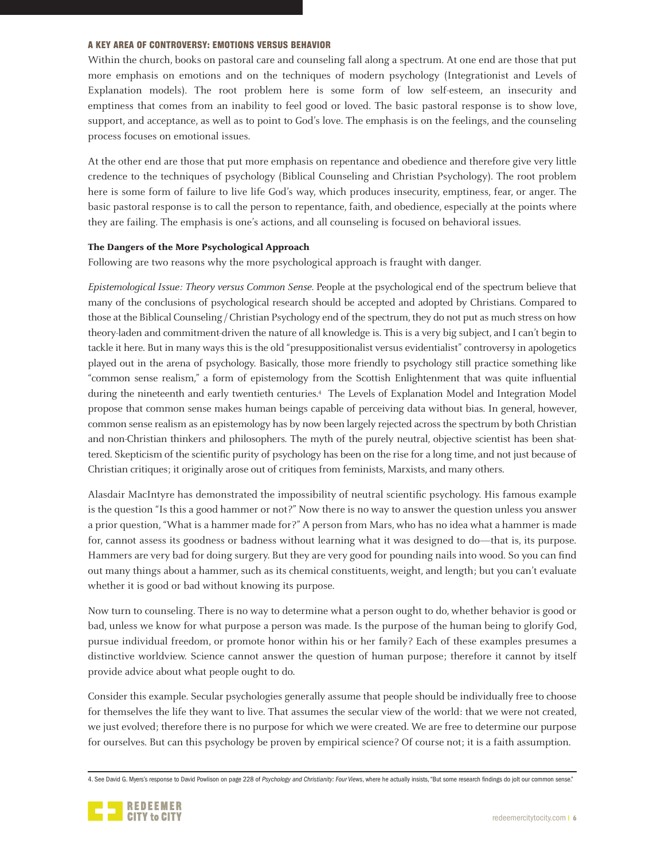#### A KEY AREA OF CONTROVERSY: EMOTIONS VERSUS BEHAVIOR

Within the church, books on pastoral care and counseling fall along a spectrum. At one end are those that put more emphasis on emotions and on the techniques of modern psychology (Integrationist and Levels of Explanation models). The root problem here is some form of low self-esteem, an insecurity and emptiness that comes from an inability to feel good or loved. The basic pastoral response is to show love, support, and acceptance, as well as to point to God's love. The emphasis is on the feelings, and the counseling process focuses on emotional issues.

At the other end are those that put more emphasis on repentance and obedience and therefore give very little credence to the techniques of psychology (Biblical Counseling and Christian Psychology). The root problem here is some form of failure to live life God's way, which produces insecurity, emptiness, fear, or anger. The basic pastoral response is to call the person to repentance, faith, and obedience, especially at the points where they are failing. The emphasis is one's actions, and all counseling is focused on behavioral issues.

#### **The Dangers of the More Psychological Approach**

Following are two reasons why the more psychological approach is fraught with danger.

Epistemological Issue: Theory versus Common Sense. People at the psychological end of the spectrum believe that many of the conclusions of psychological research should be accepted and adopted by Christians. Compared to those at the Biblical Counseling / Christian Psychology end of the spectrum, they do not put as much stress on how theory-laden and commitment-driven the nature of all knowledge is. This is a very big subject, and I can't begin to tackle it here. But in many ways this is the old "presuppositionalist versus evidentialist" controversy in apologetics played out in the arena of psychology. Basically, those more friendly to psychology still practice something like "common sense realism," a form of epistemology from the Scottish Enlightenment that was quite influential during the nineteenth and early twentieth centuries.4 The Levels of Explanation Model and Integration Model propose that common sense makes human beings capable of perceiving data without bias. In general, however, common sense realism as an epistemology has by now been largely rejected across the spectrum by both Christian and non-Christian thinkers and philosophers. The myth of the purely neutral, objective scientist has been shattered. Skepticism of the scientific purity of psychology has been on the rise for a long time, and not just because of Christian critiques; it originally arose out of critiques from feminists, Marxists, and many others.

Alasdair MacIntyre has demonstrated the impossibility of neutral scientific psychology. His famous example is the question "Is this a good hammer or not?" Now there is no way to answer the question unless you answer a prior question, "What is a hammer made for?" A person from Mars, who has no idea what a hammer is made for, cannot assess its goodness or badness without learning what it was designed to do—that is, its purpose. Hammers are very bad for doing surgery. But they are very good for pounding nails into wood. So you can find out many things about a hammer, such as its chemical constituents, weight, and length; but you can't evaluate whether it is good or bad without knowing its purpose.

Now turn to counseling. There is no way to determine what a person ought to do, whether behavior is good or bad, unless we know for what purpose a person was made. Is the purpose of the human being to glorify God, pursue individual freedom, or promote honor within his or her family? Each of these examples presumes a distinctive worldview. Science cannot answer the question of human purpose; therefore it cannot by itself provide advice about what people ought to do.

Consider this example. Secular psychologies generally assume that people should be individually free to choose for themselves the life they want to live. That assumes the secular view of the world: that we were not created, we just evolved; therefore there is no purpose for which we were created. We are free to determine our purpose for ourselves. But can this psychology be proven by empirical science? Of course not; it is a faith assumption.

<sup>4.</sup> See David G. Myers's response to David Powlison on page 228 of *Psychology and Christianity: Four Views*, where he actually insists, "But some research findings do jolt our common sense."

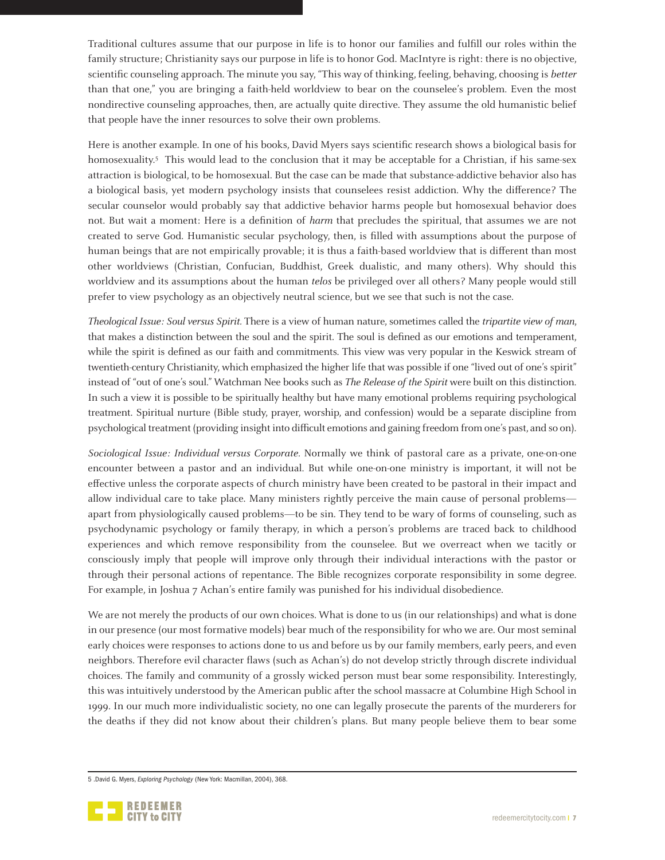Traditional cultures assume that our purpose in life is to honor our families and fulfill our roles within the family structure; Christianity says our purpose in life is to honor God. MacIntyre is right: there is no objective, scientific counseling approach. The minute you say, "This way of thinking, feeling, behaving, choosing is *better* than that one," you are bringing a faith-held worldview to bear on the counselee's problem. Even the most nondirective counseling approaches, then, are actually quite directive. They assume the old humanistic belief that people have the inner resources to solve their own problems.

Here is another example. In one of his books, David Myers says scientific research shows a biological basis for homosexuality.<sup>5</sup> This would lead to the conclusion that it may be acceptable for a Christian, if his same-sex attraction is biological, to be homosexual. But the case can be made that substance-addictive behavior also has a biological basis, yet modern psychology insists that counselees resist addiction. Why the difference? The secular counselor would probably say that addictive behavior harms people but homosexual behavior does not. But wait a moment: Here is a definition of *harm* that precludes the spiritual, that assumes we are not created to serve God. Humanistic secular psychology, then, is filled with assumptions about the purpose of human beings that are not empirically provable; it is thus a faith-based worldview that is different than most other worldviews (Christian, Confucian, Buddhist, Greek dualistic, and many others). Why should this worldview and its assumptions about the human telos be privileged over all others? Many people would still prefer to view psychology as an objectively neutral science, but we see that such is not the case.

Theological Issue: Soul versus Spirit. There is a view of human nature, sometimes called the tripartite view of man, that makes a distinction between the soul and the spirit. The soul is defined as our emotions and temperament, while the spirit is defined as our faith and commitments. This view was very popular in the Keswick stream of twentieth-century Christianity, which emphasized the higher life that was possible if one "lived out of one's spirit" instead of "out of one's soul." Watchman Nee books such as The Release of the Spirit were built on this distinction. In such a view it is possible to be spiritually healthy but have many emotional problems requiring psychological treatment. Spiritual nurture (Bible study, prayer, worship, and confession) would be a separate discipline from psychological treatment (providing insight into difficult emotions and gaining freedom from one's past, and so on).

Sociological Issue: Individual versus Corporate. Normally we think of pastoral care as a private, one-on-one encounter between a pastor and an individual. But while one-on-one ministry is important, it will not be effective unless the corporate aspects of church ministry have been created to be pastoral in their impact and allow individual care to take place. Many ministers rightly perceive the main cause of personal problems apart from physiologically caused problems—to be sin. They tend to be wary of forms of counseling, such as psychodynamic psychology or family therapy, in which a person's problems are traced back to childhood experiences and which remove responsibility from the counselee. But we overreact when we tacitly or consciously imply that people will improve only through their individual interactions with the pastor or through their personal actions of repentance. The Bible recognizes corporate responsibility in some degree. For example, in Joshua 7 Achan's entire family was punished for his individual disobedience.

We are not merely the products of our own choices. What is done to us (in our relationships) and what is done in our presence (our most formative models) bear much of the responsibility for who we are. Our most seminal early choices were responses to actions done to us and before us by our family members, early peers, and even neighbors. Therefore evil character flaws (such as Achan's) do not develop strictly through discrete individual choices. The family and community of a grossly wicked person must bear some responsibility. Interestingly, this was intuitively understood by the American public after the school massacre at Columbine High School in 1999. In our much more individualistic society, no one can legally prosecute the parents of the murderers for the deaths if they did not know about their children's plans. But many people believe them to bear some

<sup>5 .</sup>David G. Myers, *Exploring Psychology* (New York: Macmillan, 2004), 368.

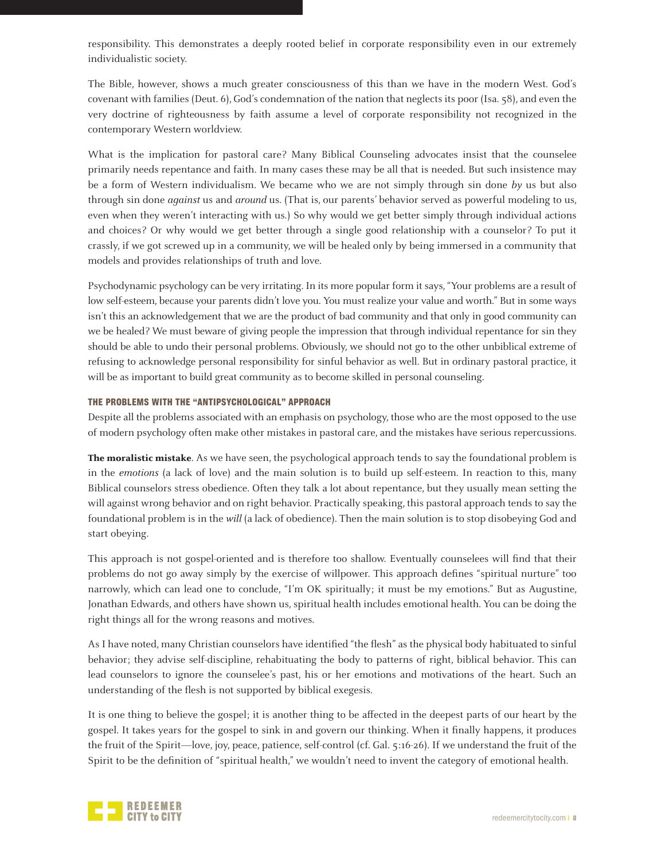responsibility. This demonstrates a deeply rooted belief in corporate responsibility even in our extremely individualistic society.

The Bible, however, shows a much greater consciousness of this than we have in the modern West. God's covenant with families (Deut. 6), God's condemnation of the nation that neglects its poor (Isa. 58), and even the very doctrine of righteousness by faith assume a level of corporate responsibility not recognized in the contemporary Western worldview.

What is the implication for pastoral care? Many Biblical Counseling advocates insist that the counselee primarily needs repentance and faith. In many cases these may be all that is needed. But such insistence may be a form of Western individualism. We became who we are not simply through sin done by us but also through sin done *against* us and *around* us. (That is, our parents' behavior served as powerful modeling to us, even when they weren't interacting with us.) So why would we get better simply through individual actions and choices? Or why would we get better through a single good relationship with a counselor? To put it crassly, if we got screwed up in a community, we will be healed only by being immersed in a community that models and provides relationships of truth and love.

Psychodynamic psychology can be very irritating. In its more popular form it says, "Your problems are a result of low self-esteem, because your parents didn't love you. You must realize your value and worth." But in some ways isn't this an acknowledgement that we are the product of bad community and that only in good community can we be healed? We must beware of giving people the impression that through individual repentance for sin they should be able to undo their personal problems. Obviously, we should not go to the other unbiblical extreme of refusing to acknowledge personal responsibility for sinful behavior as well. But in ordinary pastoral practice, it will be as important to build great community as to become skilled in personal counseling.

## THE PROBLEMS WITH THE "ANTIPSYCHOLOGICAL" APPROACH

Despite all the problems associated with an emphasis on psychology, those who are the most opposed to the use of modern psychology often make other mistakes in pastoral care, and the mistakes have serious repercussions.

**The moralistic mistake**. As we have seen, the psychological approach tends to say the foundational problem is in the emotions (a lack of love) and the main solution is to build up self-esteem. In reaction to this, many Biblical counselors stress obedience. Often they talk a lot about repentance, but they usually mean setting the will against wrong behavior and on right behavior. Practically speaking, this pastoral approach tends to say the foundational problem is in the will (a lack of obedience). Then the main solution is to stop disobeying God and start obeying.

This approach is not gospel-oriented and is therefore too shallow. Eventually counselees will find that their problems do not go away simply by the exercise of willpower. This approach defines "spiritual nurture" too narrowly, which can lead one to conclude, "I'm OK spiritually; it must be my emotions." But as Augustine, Jonathan Edwards, and others have shown us, spiritual health includes emotional health. You can be doing the right things all for the wrong reasons and motives.

As I have noted, many Christian counselors have identified "the flesh" as the physical body habituated to sinful behavior; they advise self-discipline, rehabituating the body to patterns of right, biblical behavior. This can lead counselors to ignore the counselee's past, his or her emotions and motivations of the heart. Such an understanding of the flesh is not supported by biblical exegesis.

It is one thing to believe the gospel; it is another thing to be affected in the deepest parts of our heart by the gospel. It takes years for the gospel to sink in and govern our thinking. When it finally happens, it produces the fruit of the Spirit—love, joy, peace, patience, self-control (cf. Gal. 5:16-26). If we understand the fruit of the Spirit to be the definition of "spiritual health," we wouldn't need to invent the category of emotional health.

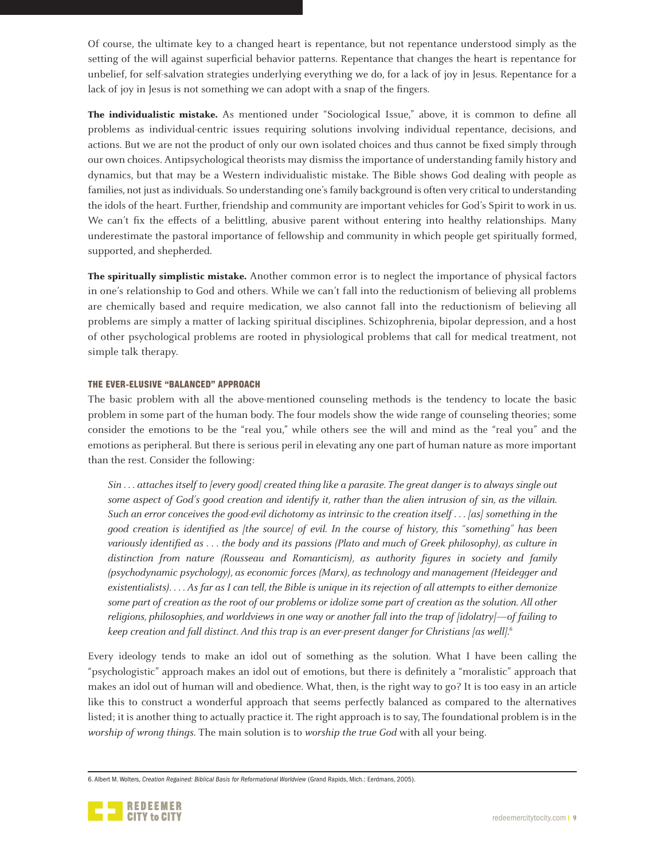Of course, the ultimate key to a changed heart is repentance, but not repentance understood simply as the setting of the will against superficial behavior patterns. Repentance that changes the heart is repentance for unbelief, for self-salvation strategies underlying everything we do, for a lack of joy in Jesus. Repentance for a lack of joy in Jesus is not something we can adopt with a snap of the fingers.

**The individualistic mistake.** As mentioned under "Sociological Issue," above, it is common to define all problems as individual-centric issues requiring solutions involving individual repentance, decisions, and actions. But we are not the product of only our own isolated choices and thus cannot be fixed simply through our own choices. Antipsychological theorists may dismiss the importance of understanding family history and dynamics, but that may be a Western individualistic mistake. The Bible shows God dealing with people as families, not just as individuals. So understanding one's family background is often very critical to understanding the idols of the heart. Further, friendship and community are important vehicles for God's Spirit to work in us. We can't fix the effects of a belittling, abusive parent without entering into healthy relationships. Many underestimate the pastoral importance of fellowship and community in which people get spiritually formed, supported, and shepherded.

**The spiritually simplistic mistake.** Another common error is to neglect the importance of physical factors in one's relationship to God and others. While we can't fall into the reductionism of believing all problems are chemically based and require medication, we also cannot fall into the reductionism of believing all problems are simply a matter of lacking spiritual disciplines. Schizophrenia, bipolar depression, and a host of other psychological problems are rooted in physiological problems that call for medical treatment, not simple talk therapy.

#### THE EVER-ELUSIVE "BALANCED" APPROACH

The basic problem with all the above-mentioned counseling methods is the tendency to locate the basic problem in some part of the human body. The four models show the wide range of counseling theories; some consider the emotions to be the "real you," while others see the will and mind as the "real you" and the emotions as peripheral. But there is serious peril in elevating any one part of human nature as more important than the rest. Consider the following:

Sin ... attaches itself to [every good] created thing like a parasite. The great danger is to always single out some aspect of God's good creation and identify it, rather than the alien intrusion of sin, as the villain. Such an error conceives the good-evil dichotomy as intrinsic to the creation itself . . . [as] something in the good creation is identified as [the source] of evil. In the course of history, this "something" has been variously identified as . . . the body and its passions (Plato and much of Greek philosophy), as culture in distinction from nature (Rousseau and Romanticism), as authority figures in society and family (psychodynamic psychology), as economic forces (Marx), as technology and management (Heidegger and existentialists). . . . As far as I can tell, the Bible is unique in its rejection of all attempts to either demonize some part of creation as the root of our problems or idolize some part of creation as the solution. All other religions, philosophies, and worldviews in one way or another fall into the trap of [idolatry]—of failing to keep creation and fall distinct. And this trap is an ever-present danger for Christians [as well].<sup>6</sup>

Every ideology tends to make an idol out of something as the solution. What I have been calling the "psychologistic" approach makes an idol out of emotions, but there is definitely a "moralistic" approach that makes an idol out of human will and obedience. What, then, is the right way to go? It is too easy in an article like this to construct a wonderful approach that seems perfectly balanced as compared to the alternatives listed; it is another thing to actually practice it. The right approach is to say, The foundational problem is in the worship of wrong things. The main solution is to worship the true God with all your being.

<sup>6.</sup> Albert M. Wolters, *Creation Regained: Biblical Basis for Reformational Worldview* (Grand Rapids, Mich.: Eerdmans, 2005).